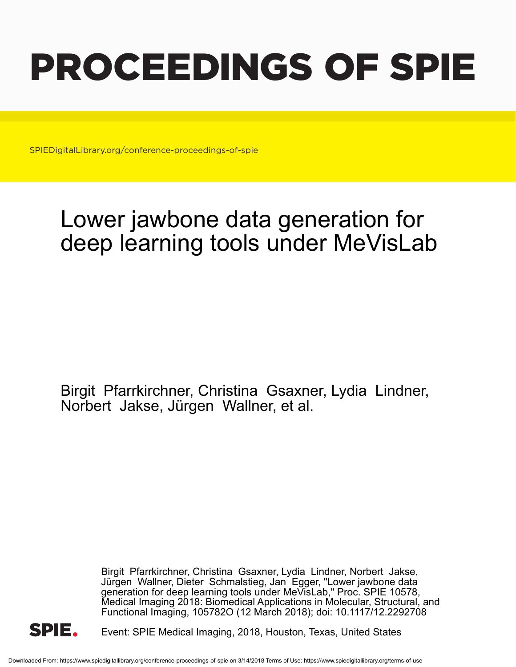# PROCEEDINGS OF SPIE

SPIEDigitalLibrary.org/conference-proceedings-of-spie

## Lower jawbone data generation for deep learning tools under MeVisLab

Birgit Pfarrkirchner, Christina Gsaxner, Lydia Lindner, Norbert Jakse, Jürgen Wallner, et al.

> Birgit Pfarrkirchner, Christina Gsaxner, Lydia Lindner, Norbert Jakse, Jürgen Wallner, Dieter Schmalstieg, Jan Egger, "Lower jawbone data generation for deep learning tools under MeVisLab," Proc. SPIE 10578, Medical Imaging 2018: Biomedical Applications in Molecular, Structural, and Functional Imaging, 105782O (12 March 2018); doi: 10.1117/12.2292708



Event: SPIE Medical Imaging, 2018, Houston, Texas, United States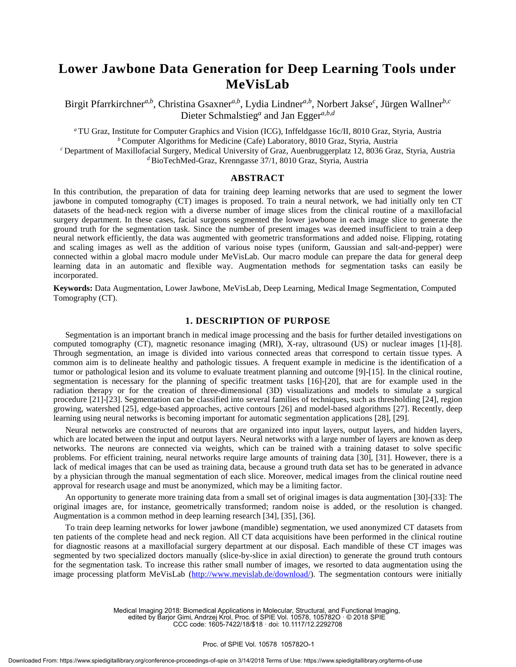### **Lower Jawbone Data Generation for Deep Learning Tools under MeVisLab**

Birgit Pfarrkirchner*a,b* , Christina Gsaxner*a,b* , Lydia Lindner*a,b* , Norbert Jakse*<sup>c</sup>* , Jürgen Wallner*b,c* Dieter Schmalstieg*<sup>a</sup>* and Jan Egger*a,b,d*

*<sup>a</sup>* TU Graz, Institute for Computer Graphics and Vision (ICG), Inffeldgasse 16c/II, 8010 Graz, Styria, Austria *<sup>b</sup>* Computer Algorithms for Medicine (Cafe) Laboratory, 8010 Graz, Styria, Austria *<sup>c</sup>* Department of Maxillofacial Surgery, Medical University of Graz, Auenbruggerplatz 12, 8036 Graz, Styria, Austria

*<sup>d</sup>* BioTechMed-Graz, Krenngasse 37/1, 8010 Graz, Styria, Austria

#### **ABSTRACT**

In this contribution, the preparation of data for training deep learning networks that are used to segment the lower jawbone in computed tomography (CT) images is proposed. To train a neural network, we had initially only ten CT datasets of the head-neck region with a diverse number of image slices from the clinical routine of a maxillofacial surgery department. In these cases, facial surgeons segmented the lower jawbone in each image slice to generate the ground truth for the segmentation task. Since the number of present images was deemed insufficient to train a deep neural network efficiently, the data was augmented with geometric transformations and added noise. Flipping, rotating and scaling images as well as the addition of various noise types (uniform, Gaussian and salt-and-pepper) were connected within a global macro module under MeVisLab. Our macro module can prepare the data for general deep learning data in an automatic and flexible way. Augmentation methods for segmentation tasks can easily be incorporated.

**Keywords:** Data Augmentation, Lower Jawbone, MeVisLab, Deep Learning, Medical Image Segmentation, Computed Tomography (CT).

#### **1. DESCRIPTION OF PURPOSE**

Segmentation is an important branch in medical image processing and the basis for further detailed investigations on computed tomography (CT), magnetic resonance imaging (MRI), X-ray, ultrasound (US) or nuclear images [1]-[8]. Through segmentation, an image is divided into various connected areas that correspond to certain tissue types. A common aim is to delineate healthy and pathologic tissues. A frequent example in medicine is the identification of a tumor or pathological lesion and its volume to evaluate treatment planning and outcome [9]-[15]. In the clinical routine, segmentation is necessary for the planning of specific treatment tasks [16]-[20], that are for example used in the radiation therapy or for the creation of three-dimensional (3D) visualizations and models to simulate a surgical procedure [21]-[23]. Segmentation can be classified into several families of techniques, such as thresholding [24], region growing, watershed [25], edge-based approaches, active contours [26] and model-based algorithms [27]. Recently, deep learning using neural networks is becoming important for automatic segmentation applications [28], [29].

Neural networks are constructed of neurons that are organized into input layers, output layers, and hidden layers, which are located between the input and output layers. Neural networks with a large number of layers are known as deep networks. The neurons are connected via weights, which can be trained with a training dataset to solve specific problems. For efficient training, neural networks require large amounts of training data [30], [31]. However, there is a lack of medical images that can be used as training data, because a ground truth data set has to be generated in advance by a physician through the manual segmentation of each slice. Moreover, medical images from the clinical routine need approval for research usage and must be anonymized, which may be a limiting factor.

An opportunity to generate more training data from a small set of original images is data augmentation [30]-[33]: The original images are, for instance, geometrically transformed; random noise is added, or the resolution is changed. Augmentation is a common method in deep learning research [34], [35], [36].

To train deep learning networks for lower jawbone (mandible) segmentation, we used anonymized CT datasets from ten patients of the complete head and neck region. All CT data acquisitions have been performed in the clinical routine for diagnostic reasons at a maxillofacial surgery department at our disposal. Each mandible of these CT images was segmented by two specialized doctors manually (slice-by-slice in axial direction) to generate the ground truth contours for the segmentation task. To increase this rather small number of images, we resorted to data augmentation using the image processing platform MeVisLab (http://www.mevislab.de/download/). The segmentation contours were initially

> Medical Imaging 2018: Biomedical Applications in Molecular, Structural, and Functional Imaging, edited by Barjor Gimi, Andrzej Krol, Proc. of SPIE Vol. 10578, 105782O · © 2018 SPIE

CCC code: 1605-7422/18/\$18 · doi: 10.1117/12.2292708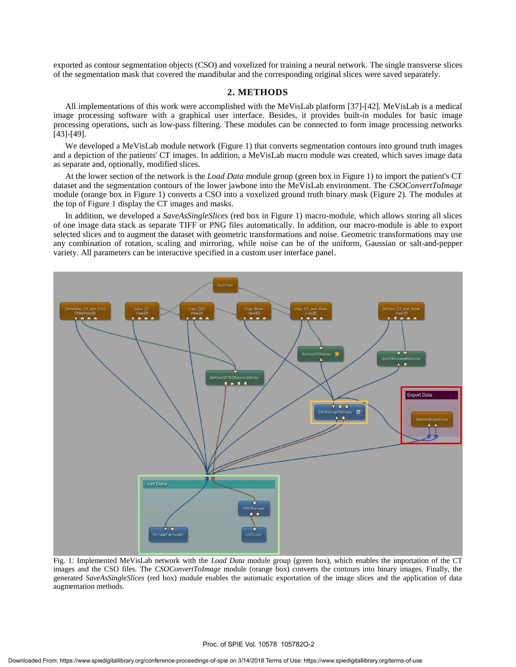exported as contour segmentation objects (CSO) and voxelized for training a neural network. The single transverse slices of the segmentation mask that covered the mandibular and the corresponding original slices were saved separately.

#### **2. METHODS**

All implementations of this work were accomplished with the MeVisLab platform [37]-[42]. MeVisLab is a medical image processing software with a graphical user interface. Besides, it provides built-in modules for basic image processing operations, such as low-pass filtering. These modules can be connected to form image processing networks [43]-[49].

We developed a MeVisLab module network (Figure 1) that converts segmentation contours into ground truth images and a depiction of the patients' CT images. In addition, a MeVisLab macro module was created, which saves image data as separate and, optionally, modified slices.

At the lower section of the network is the *Load Data* module group (green box in Figure 1) to import the patient's CT dataset and the segmentation contours of the lower jawbone into the MeVisLab environment. The *CSOConvertToImage* module (orange box in Figure 1) converts a CSO into a voxelized ground truth binary mask (Figure 2). The modules at the top of Figure 1 display the CT images and masks.

In addition, we developed a *SaveAsSingleSlices* (red box in Figure 1) macro-module, which allows storing all slices of one image data stack as separate TIFF or PNG files automatically. In addition, our macro-module is able to export selected slices and to augment the dataset with geometric transformations and noise. Geometric transformations may use any combination of rotation, scaling and mirroring, while noise can be of the uniform, Gaussian or salt-and-pepper variety. All parameters can be interactive specified in a custom user interface panel.



Fig. 1: Implemented MeVisLab network with the *Load Data* module group (green box), which enables the importation of the CT images and the CSO files. The *CSOConvertToImage* module (orange box) converts the contours into binary images. Finally, the generated *SaveAsSingleSlices* (red box) module enables the automatic exportation of the image slices and the application of data augmentation methods.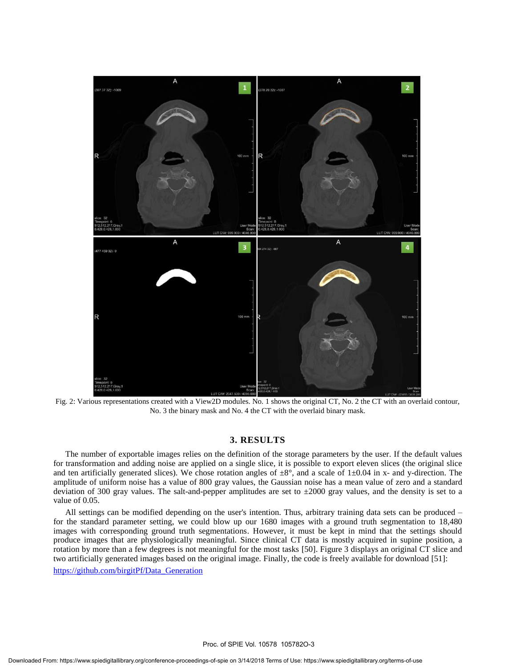

Fig. 2: Various representations created with a View2D modules. No. 1 shows the original CT, No. 2 the CT with an overlaid contour, No. 3 the binary mask and No. 4 the CT with the overlaid binary mask.

#### **3. RESULTS**

The number of exportable images relies on the definition of the storage parameters by the user. If the default values for transformation and adding noise are applied on a single slice, it is possible to export eleven slices (the original slice and ten artificially generated slices). We chose rotation angles of  $\pm 8^{\circ}$ , and a scale of 1 $\pm 0.04$  in x- and y-direction. The amplitude of uniform noise has a value of 800 gray values, the Gaussian noise has a mean value of zero and a standard deviation of 300 gray values. The salt-and-pepper amplitudes are set to  $\pm 2000$  gray values, and the density is set to a value of 0.05.

All settings can be modified depending on the user's intention. Thus, arbitrary training data sets can be produced – for the standard parameter setting, we could blow up our 1680 images with a ground truth segmentation to 18,480 images with corresponding ground truth segmentations. However, it must be kept in mind that the settings should produce images that are physiologically meaningful. Since clinical CT data is mostly acquired in supine position, a rotation by more than a few degrees is not meaningful for the most tasks [50]. Figure 3 displays an original CT slice and two artificially generated images based on the original image. Finally, the code is freely available for download [51]: https://github.com/birgitPf/Data\_Generation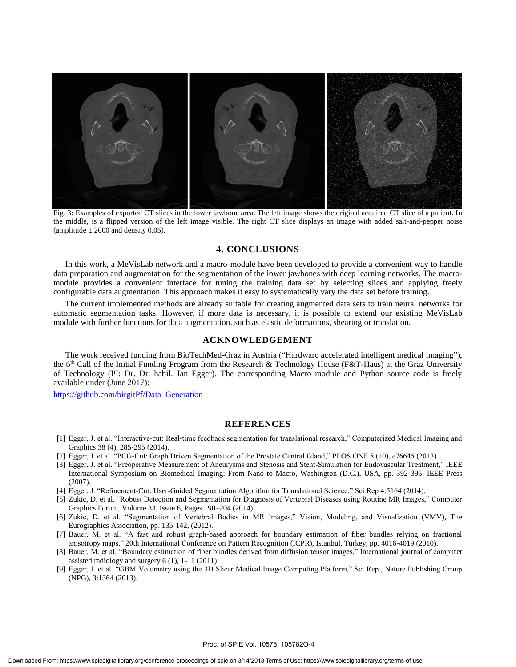

Fig. 3: Examples of exported CT slices in the lower jawbone area. The left image shows the original acquired CT slice of a patient. In the middle, is a flipped version of the left image visible. The right CT slice displays an image with added salt-and-pepper noise (amplitude  $\pm$  2000 and density 0.05).

#### **4. CONCLUSIONS**

In this work, a MeVisLab network and a macro-module have been developed to provide a convenient way to handle data preparation and augmentation for the segmentation of the lower jawbones with deep learning networks. The macromodule provides a convenient interface for tuning the training data set by selecting slices and applying freely configurable data augmentation. This approach makes it easy to systematically vary the data set before training.

The current implemented methods are already suitable for creating augmented data sets to train neural networks for automatic segmentation tasks. However, if more data is necessary, it is possible to extend our existing MeVisLab module with further functions for data augmentation, such as elastic deformations, shearing or translation.

#### **ACKNOWLEDGEMENT**

The work received funding from BioTechMed-Graz in Austria ("Hardware accelerated intelligent medical imaging"), the 6<sup>th</sup> Call of the Initial Funding Program from the Research & Technology House (F&T-Haus) at the Graz University of Technology (PI: Dr. Dr. habil. Jan Egger). The corresponding Macro module and Python source code is freely available under (June 2017):

https://github.com/birgitPf/Data\_Generation

#### **REFERENCES**

- [1] Egger, J. et al. "Interactive-cut: Real-time feedback segmentation for translational research," Computerized Medical Imaging and Graphics 38 (4), 285-295 (2014).
- [2] Egger, J. et al. "PCG-Cut: Graph Driven Segmentation of the Prostate Central Gland," PLOS ONE 8 (10), e76645 (2013).
- [3] Egger, J. et al. "Preoperative Measurement of Aneurysms and Stenosis and Stent-Simulation for Endovascular Treatment," IEEE International Symposium on Biomedical Imaging: From Nano to Macro, Washington (D.C.), USA, pp. 392-395, IEEE Press (2007).
- [4] Egger, J. "Refinement-Cut: User-Guided Segmentation Algorithm for Translational Science," Sci Rep 4:5164 (2014).
- [5] Zukic, D. et al. "Robust Detection and Segmentation for Diagnosis of Vertebral Diseases using Routine MR Images," Computer Graphics Forum, Volume 33, Issue 6, Pages 190–204 (2014).
- [6] Zukic, D. et al. "Segmentation of Vertebral Bodies in MR Images," Vision, Modeling, and Visualization (VMV), The Eurographics Association, pp. 135-142, (2012).
- [7] Bauer, M. et al. "A fast and robust graph-based approach for boundary estimation of fiber bundles relying on fractional anisotropy maps," 20th International Conference on Pattern Recognition (ICPR), Istanbul, Turkey, pp. 4016-4019 (2010).
- [8] Bauer, M. et al. "Boundary estimation of fiber bundles derived from diffusion tensor images," International journal of computer assisted radiology and surgery 6 (1), 1-11 (2011).
- [9] Egger, J. et al. "GBM Volumetry using the 3D Slicer Medical Image Computing Platform," Sci Rep., Nature Publishing Group (NPG), 3:1364 (2013).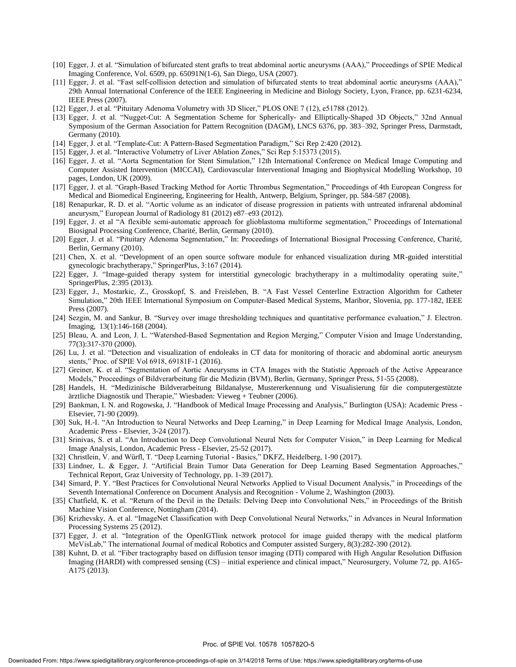- [10] Egger, J. et al. "Simulation of bifurcated stent grafts to treat abdominal aortic aneurysms (AAA)," Proceedings of SPIE Medical Imaging Conference, Vol. 6509, pp. 65091N(1-6), San Diego, USA (2007).
- [11] Egger, J. et al. "Fast self-collision detection and simulation of bifurcated stents to treat abdominal aortic aneurysms (AAA)," 29th Annual International Conference of the IEEE Engineering in Medicine and Biology Society, Lyon, France, pp. 6231-6234, IEEE Press (2007).
- [12] Egger, J. et al. "Pituitary Adenoma Volumetry with 3D Slicer," PLOS ONE 7 (12), e51788 (2012).
- [13] Egger, J. et al. "Nugget-Cut: A Segmentation Scheme for Spherically- and Elliptically-Shaped 3D Objects," 32nd Annual Symposium of the German Association for Pattern Recognition (DAGM), LNCS 6376, pp. 383–392, Springer Press, Darmstadt, Germany (2010).
- [14] Egger, J. et al. "Template-Cut: A Pattern-Based Segmentation Paradigm," Sci Rep 2:420 (2012).
- [15] Egger, J. et al. "Interactive Volumetry of Liver Ablation Zones," Sci Rep 5:15373 (2015).
- [16] Egger, J. et al. "Aorta Segmentation for Stent Simulation," 12th International Conference on Medical Image Computing and Computer Assisted Intervention (MICCAI), Cardiovascular Interventional Imaging and Biophysical Modelling Workshop, 10 pages, London, UK (2009).
- [17] Egger, J. et al. "Graph-Based Tracking Method for Aortic Thrombus Segmentation," Proceedings of 4th European Congress for Medical and Biomedical Engineering, Engineering for Health, Antwerp, Belgium, Springer, pp. 584-587 (2008).
- [18] Renapurkar, R. D. et al. "Aortic volume as an indicator of disease progression in patients with untreated infrarenal abdominal aneurysm," European Journal of Radiology 81 (2012) e87–e93 (2012).
- [19] Egger, J. et al "A flexible semi-automatic approach for glioblastoma multiforme segmentation," Proceedings of International Biosignal Processing Conference, Charité, Berlin, Germany (2010).
- [20] Egger, J. et al. "Pituitary Adenoma Segmentation," In: Proceedings of International Biosignal Processing Conference, Charité, Berlin, Germany (2010).
- [21] Chen, X. et al. "Development of an open source software module for enhanced visualization during MR-guided interstitial gynecologic brachytherapy," SpringerPlus, 3:167 (2014).
- [22] Egger, J. "Image-guided therapy system for interstitial gynecologic brachytherapy in a multimodality operating suite," SpringerPlus, 2:395 (2013).
- [23] Egger, J., Mostarkic, Z., Grosskopf, S. and Freisleben, B. "A Fast Vessel Centerline Extraction Algorithm for Catheter Simulation," 20th IEEE International Symposium on Computer-Based Medical Systems, Maribor, Slovenia, pp. 177-182, IEEE Press (2007).
- [24] Sezgin, M. and Sankur, B. "Survey over image thresholding techniques and quantitative performance evaluation," J. Electron. Imaging, 13(1):146-168 (2004).
- [25] Bleau, A. and Leon, J. L. "Watershed-Based Segmentation and Region Merging," Computer Vision and Image Understanding, 77(3):317-370 (2000).
- [26] Lu, J. et al. "Detection and visualization of endoleaks in CT data for monitoring of thoracic and abdominal aortic aneurysm stents," Proc. of SPIE Vol 6918, 69181F-1 (2016).
- [27] Greiner, K. et al. "Segmentation of Aortic Aneurysms in CTA Images with the Statistic Approach of the Active Appearance Models," Proceedings of Bildverarbeitung für die Medizin (BVM), Berlin, Germany, Springer Press, 51-55 (2008).
- [28] Handels, H. "Medizinische Bildverarbeitung Bildanalyse, Mustererkennung und Visualisierung für die computergestützte ärztliche Diagnostik und Therapie," Wiesbaden: Vieweg + Teubner (2006).
- [29] Bankman, I. N. and Rogowska, J. "Handbook of Medical Image Processing and Analysis," Burlington (USA): Academic Press Elsevier, 71-90 (2009).
- [30] Suk, H.-I. "An Introduction to Neural Networks and Deep Learning," in Deep Learning for Medical Image Analysis, London, Academic Press - Elsevier, 3-24 (2017).
- [31] Srinivas, S. et al. "An Introduction to Deep Convolutional Neural Nets for Computer Vision," in Deep Learning for Medical Image Analysis, London, Academic Press - Elsevier, 25-52 (2017).
- [32] Christlein, V. and Würfl, T. "Deep Learning Tutorial Basics," DKFZ, Heidelberg, 1-90 (2017).
- [33] Lindner, L. & Egger, J. "Artificial Brain Tumor Data Generation for Deep Learning Based Segmentation Approaches," Technical Report, Graz University of Technology, pp. 1-39 (2017).
- [34] Simard, P. Y. "Best Practices for Convolutional Neural Networks Applied to Visual Document Analysis," in Proceedings of the Seventh International Conference on Document Analysis and Recognition - Volume 2, Washington (2003).
- [35] Chatfield, K. et al. "Return of the Devil in the Details: Delving Deep into Convolutional Nets," in Proceedings of the British Machine Vision Conference, Nottingham (2014).
- [36] Krizhevsky, A. et al. "ImageNet Classification with Deep Convolutional Neural Networks," in Advances in Neural Information Processing Systems 25 (2012).
- [37] Egger, J. et al. "Integration of the OpenIGTlink network protocol for image guided therapy with the medical platform MeVisLab," The international Journal of medical Robotics and Computer assisted Surgery, 8(3):282-390 (2012).
- [38] Kuhnt, D. et al. "Fiber tractography based on diffusion tensor imaging (DTI) compared with High Angular Resolution Diffusion Imaging (HARDI) with compressed sensing (CS) – initial experience and clinical impact," Neurosurgery, Volume 72, pp. A165- A175 (2013).